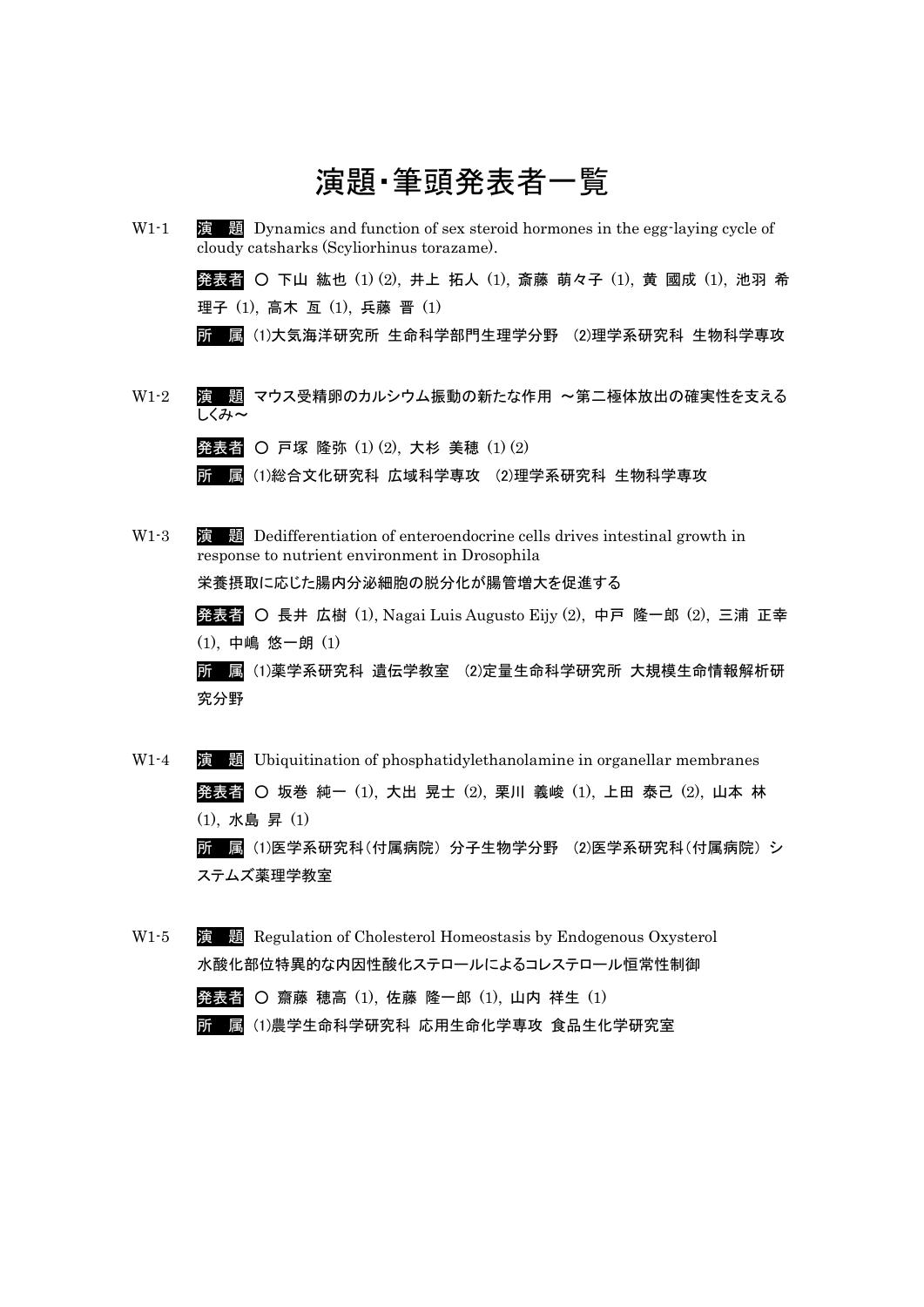

理子 (1), 高木 亙 (1), 兵藤 晋 (1)

所 属 (1)大気海洋研究所 生命科学部門生理学分野 (2)理学系研究科 生物科学専攻

W1-2 演 題 マウス受精卵のカルシウム振動の新たな作用 〜第二極体放出の確実性を支える しくみ〜

|  |  | 発表者 〇 戸塚 隆弥 (1)(2), 大杉 美穂 (1)(2) |  |  |
|--|--|----------------------------------|--|--|
|  |  |                                  |  |  |

所 属 (1)総合文化研究科 広域科学専攻 (2)理学系研究科 生物科学専攻

- W<sub>1</sub>-3 **演 題** Dedifferentiation of enteroendocrine cells drives intestinal growth in response to nutrient environment in Drosophila 栄養摂取に応じた腸内分泌細胞の脱分化が腸管増大を促進する 発表者 ○ 長井 広樹 (1), Nagai Luis Augusto Eijy (2), 中戸 隆一郎 (2), 三浦 正幸 (1), 中嶋 悠一朗 (1) 所 属 (1)薬学系研究科 遺伝学教室 (2)定量生命科学研究所 大規模生命情報解析研 究分野
- W1-4 演 題 Ubiquitination of phosphatidylethanolamine in organellar membranes 発表者 ○ 坂巻 純一 (1), 大出 晃士 (2), 栗川 義峻 (1), 上田 泰己 (2), 山本 林 (1), 水島 昇 (1) 所 属 (1)医学系研究科(付属病院) 分子生物学分野 (2)医学系研究科(付属病院) シ ステムズ薬理学教室
- W1-5 演 題 Regulation of Cholesterol Homeostasis by Endogenous Oxysterol 水酸化部位特異的な内因性酸化ステロールによるコレステロール恒常性制御 発表者 ○ 齋藤 穂高 (1), 佐藤 隆一郎 (1), 山内 祥生 (1)
	- 所 属 (1)農学生命科学研究科 応用生命化学専攻 食品生化学研究室